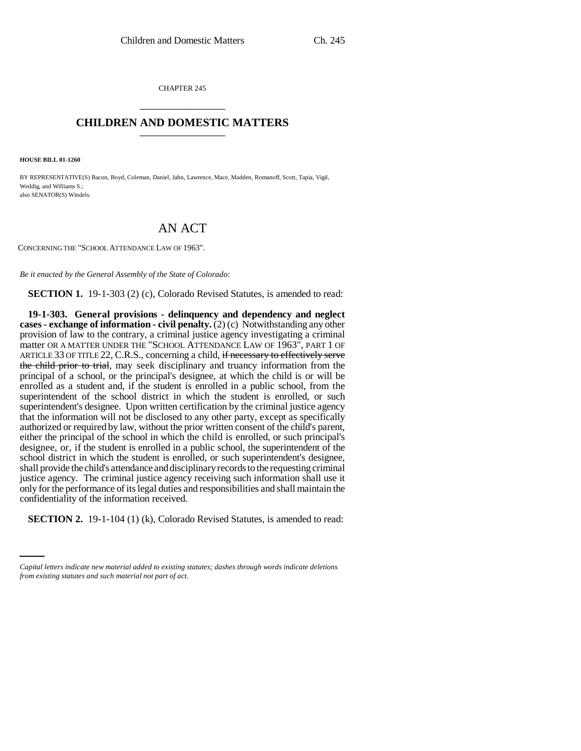CHAPTER 245 \_\_\_\_\_\_\_\_\_\_\_\_\_\_\_

## **CHILDREN AND DOMESTIC MATTERS** \_\_\_\_\_\_\_\_\_\_\_\_\_\_\_

**HOUSE BILL 01-1260**

BY REPRESENTATIVE(S) Bacon, Boyd, Coleman, Daniel, Jahn, Lawrence, Mace, Madden, Romanoff, Scott, Tapia, Vigil, Weddig, and Williams S.; also SENATOR(S) Windels.

## AN ACT

CONCERNING THE "SCHOOL ATTENDANCE LAW OF 1963".

*Be it enacted by the General Assembly of the State of Colorado:*

**SECTION 1.** 19-1-303 (2) (c), Colorado Revised Statutes, is amended to read:

confidentiality of the information received. **19-1-303. General provisions - delinquency and dependency and neglect cases - exchange of information - civil penalty.** (2) (c) Notwithstanding any other provision of law to the contrary, a criminal justice agency investigating a criminal matter OR A MATTER UNDER THE "SCHOOL ATTENDANCE LAW OF 1963", PART 1 OF ARTICLE 33 OF TITLE 22, C.R.S., concerning a child, if necessary to effectively serve the child prior to trial, may seek disciplinary and truancy information from the principal of a school, or the principal's designee, at which the child is or will be enrolled as a student and, if the student is enrolled in a public school, from the superintendent of the school district in which the student is enrolled, or such superintendent's designee. Upon written certification by the criminal justice agency that the information will not be disclosed to any other party, except as specifically authorized or required by law, without the prior written consent of the child's parent, either the principal of the school in which the child is enrolled, or such principal's designee, or, if the student is enrolled in a public school, the superintendent of the school district in which the student is enrolled, or such superintendent's designee, shall provide the child's attendance and disciplinary records to the requesting criminal justice agency. The criminal justice agency receiving such information shall use it only for the performance of its legal duties and responsibilities and shall maintain the

**SECTION 2.** 19-1-104 (1) (k), Colorado Revised Statutes, is amended to read:

*Capital letters indicate new material added to existing statutes; dashes through words indicate deletions from existing statutes and such material not part of act.*